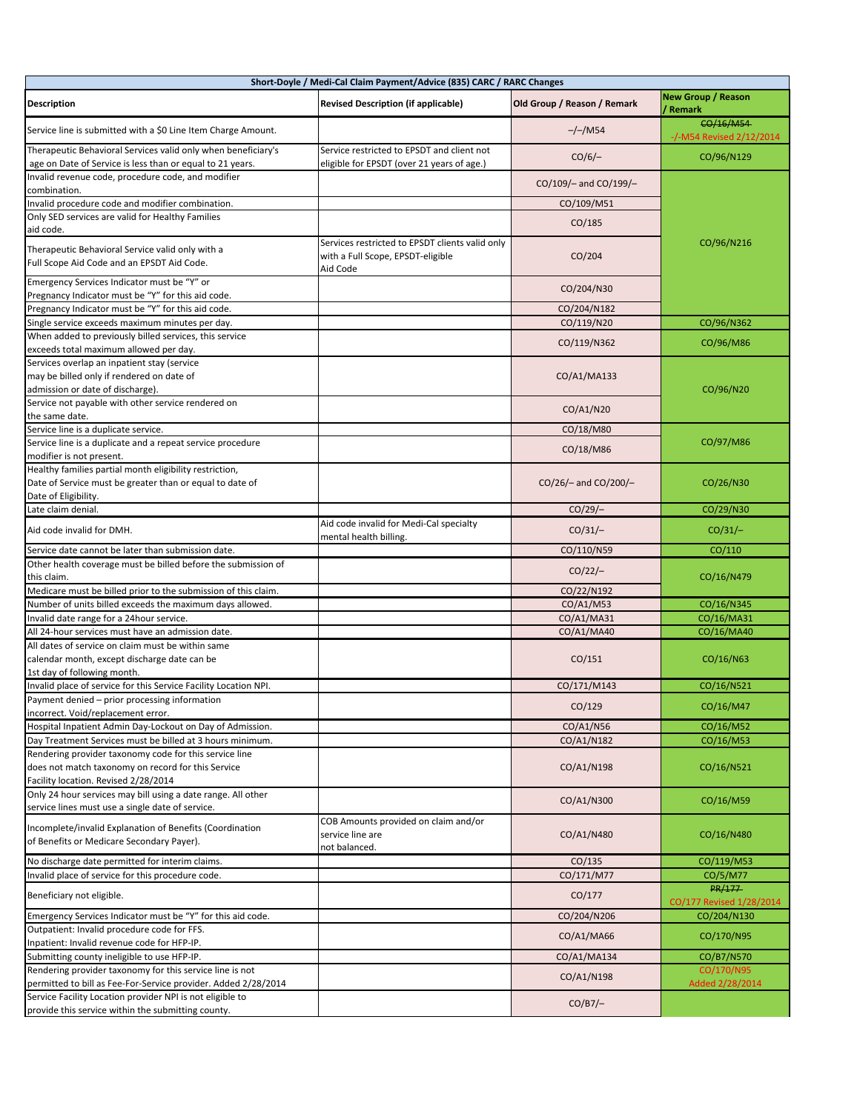|                                                                                                                                                      | Short-Doyle / Medi-Cal Claim Payment/Advice (835) CARC / RARC Changes                            |                             |                                       |
|------------------------------------------------------------------------------------------------------------------------------------------------------|--------------------------------------------------------------------------------------------------|-----------------------------|---------------------------------------|
| <b>Description</b>                                                                                                                                   | <b>Revised Description (if applicable)</b>                                                       | Old Group / Reason / Remark | <b>New Group / Reason</b><br>/ Remark |
| Service line is submitted with a \$0 Line Item Charge Amount.                                                                                        |                                                                                                  | $-/-/MS4$                   | CO/16/M54<br>-/-M54 Revised 2/12/2014 |
| Therapeutic Behavioral Services valid only when beneficiary's<br>age on Date of Service is less than or equal to 21 years.                           | Service restricted to EPSDT and client not<br>eligible for EPSDT (over 21 years of age.)         | $CO/6$ /-                   | CO/96/N129                            |
| Invalid revenue code, procedure code, and modifier<br>combination.                                                                                   |                                                                                                  | CO/109/- and CO/199/-       | CO/96/N216                            |
| Invalid procedure code and modifier combination.                                                                                                     |                                                                                                  | CO/109/M51                  |                                       |
| Only SED services are valid for Healthy Families<br>aid code.                                                                                        |                                                                                                  | CO/185                      |                                       |
| Therapeutic Behavioral Service valid only with a<br>Full Scope Aid Code and an EPSDT Aid Code.                                                       | Services restricted to EPSDT clients valid only<br>with a Full Scope, EPSDT-eligible<br>Aid Code | CO/204                      |                                       |
| Emergency Services Indicator must be "Y" or<br>Pregnancy Indicator must be "Y" for this aid code.                                                    |                                                                                                  | CO/204/N30                  |                                       |
| Pregnancy Indicator must be "Y" for this aid code.                                                                                                   |                                                                                                  | CO/204/N182                 |                                       |
| Single service exceeds maximum minutes per day.                                                                                                      |                                                                                                  | CO/119/N20                  | CO/96/N362                            |
| When added to previously billed services, this service                                                                                               |                                                                                                  |                             |                                       |
| exceeds total maximum allowed per day.                                                                                                               |                                                                                                  | CO/119/N362                 | CO/96/M86                             |
| Services overlap an inpatient stay (service<br>may be billed only if rendered on date of<br>admission or date of discharge).                         |                                                                                                  | CO/A1/MA133                 | CO/96/N20                             |
| Service not payable with other service rendered on<br>the same date.                                                                                 |                                                                                                  | CO/A1/N20                   |                                       |
| Service line is a duplicate service.                                                                                                                 |                                                                                                  | CO/18/M80                   |                                       |
| Service line is a duplicate and a repeat service procedure                                                                                           |                                                                                                  | CO/18/M86                   | CO/97/M86                             |
| modifier is not present.<br>Healthy families partial month eligibility restriction,<br>Date of Service must be greater than or equal to date of      |                                                                                                  | CO/26/- and CO/200/-        | CO/26/N30                             |
| Date of Eligibility.                                                                                                                                 |                                                                                                  |                             |                                       |
| Late claim denial.                                                                                                                                   |                                                                                                  | $CO/29$ /-                  | CO/29/N30                             |
| Aid code invalid for DMH.                                                                                                                            | Aid code invalid for Medi-Cal specialty<br>mental health billing.                                | $CO/31/-$                   | $CO/31/-$                             |
| Service date cannot be later than submission date.                                                                                                   |                                                                                                  | CO/110/N59                  | CO/110                                |
| Other health coverage must be billed before the submission of<br>this claim.                                                                         |                                                                                                  | $CO/22/-$                   | CO/16/N479                            |
| Medicare must be billed prior to the submission of this claim.                                                                                       |                                                                                                  | CO/22/N192                  |                                       |
| Number of units billed exceeds the maximum days allowed.                                                                                             |                                                                                                  | CO/A1/M53                   | CO/16/N345                            |
| Invalid date range for a 24hour service.                                                                                                             |                                                                                                  | CO/A1/MA31                  | CO/16/MA31                            |
| All 24-hour services must have an admission date.                                                                                                    |                                                                                                  | CO/A1/MA40                  | CO/16/MA40                            |
| All dates of service on claim must be within same<br>calendar month, except discharge date can be<br>1st day of following month.                     |                                                                                                  | CO/151                      | CO/16/N63                             |
| Invalid place of service for this Service Facility Location NPI.                                                                                     |                                                                                                  | CO/171/M143                 | CO/16/N521                            |
| Payment denied - prior processing information<br>incorrect. Void/replacement error.                                                                  |                                                                                                  | CO/129                      | CO/16/M47                             |
| Hospital Inpatient Admin Day-Lockout on Day of Admission.                                                                                            |                                                                                                  | CO/A1/N56                   | CO/16/M52                             |
| Day Treatment Services must be billed at 3 hours minimum.                                                                                            |                                                                                                  | CO/A1/N182                  | CO/16/M53                             |
| Rendering provider taxonomy code for this service line<br>does not match taxonomy on record for this Service<br>Facility location. Revised 2/28/2014 |                                                                                                  | CO/A1/N198                  | CO/16/N521                            |
| Only 24 hour services may bill using a date range. All other<br>service lines must use a single date of service.                                     |                                                                                                  | CO/A1/N300                  | CO/16/M59                             |
| Incomplete/invalid Explanation of Benefits (Coordination<br>of Benefits or Medicare Secondary Payer).                                                | COB Amounts provided on claim and/or<br>service line are<br>not balanced.                        | CO/A1/N480                  | CO/16/N480                            |
| No discharge date permitted for interim claims.                                                                                                      |                                                                                                  | CO/135                      | CO/119/M53                            |
| Invalid place of service for this procedure code.                                                                                                    |                                                                                                  | CO/171/M77                  | CO/5/M77                              |
| Beneficiary not eligible.                                                                                                                            |                                                                                                  | CO/177                      | PR/177<br>CO/177 Revised 1/28/2014    |
| Emergency Services Indicator must be "Y" for this aid code.                                                                                          |                                                                                                  | CO/204/N206                 | CO/204/N130                           |
| Outpatient: Invalid procedure code for FFS.                                                                                                          |                                                                                                  | CO/A1/MA66                  | CO/170/N95                            |
| Inpatient: Invalid revenue code for HFP-IP.<br>Submitting county ineligible to use HFP-IP.                                                           |                                                                                                  |                             |                                       |
| Rendering provider taxonomy for this service line is not                                                                                             |                                                                                                  | CO/A1/MA134                 | CO/B7/N570<br>CO/170/N95              |
| permitted to bill as Fee-For-Service provider. Added 2/28/2014                                                                                       |                                                                                                  | CO/A1/N198                  | Added 2/28/2014                       |
| Service Facility Location provider NPI is not eligible to<br>provide this service within the submitting county.                                      |                                                                                                  | $CO/B7$ /-                  |                                       |